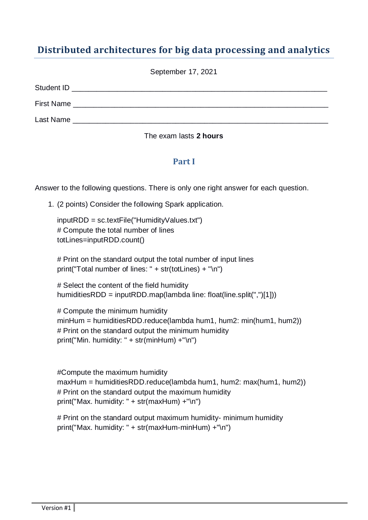# **Distributed architectures for big data processing and analytics**

September 17, 2021

| Student ID        |  |
|-------------------|--|
| <b>First Name</b> |  |
| Last Name         |  |

#### The exam lasts **2 hours**

## **Part I**

Answer to the following questions. There is only one right answer for each question.

1. (2 points) Consider the following Spark application.

inputRDD = sc.textFile("HumidityValues.txt") # Compute the total number of lines totLines=inputRDD.count()

# Print on the standard output the total number of input lines print("Total number of lines: " + str(totLines) + "\n")

# Select the content of the field humidity humiditiesRDD = inputRDD.map(lambda line: float(line.split(",")[1]))

# Compute the minimum humidity minHum = humiditiesRDD.reduce(lambda hum1, hum2: min(hum1, hum2)) # Print on the standard output the minimum humidity print("Min. humidity: " + str(minHum) +"\n")

#Compute the maximum humidity maxHum = humiditiesRDD.reduce(lambda hum1, hum2: max(hum1, hum2)) # Print on the standard output the maximum humidity print("Max. humidity: " + str(maxHum) +"\n")

# Print on the standard output maximum humidity- minimum humidity print("Max. humidity: " + str(maxHum-minHum) +"\n")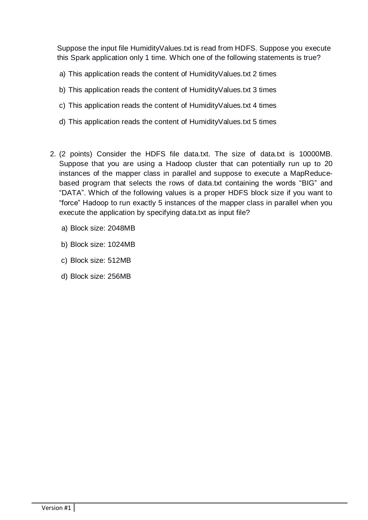Suppose the input file HumidityValues.txt is read from HDFS. Suppose you execute this Spark application only 1 time. Which one of the following statements is true?

- a) This application reads the content of HumidityValues.txt 2 times
- b) This application reads the content of HumidityValues.txt 3 times
- c) This application reads the content of HumidityValues.txt 4 times
- d) This application reads the content of HumidityValues.txt 5 times
- 2. (2 points) Consider the HDFS file data.txt. The size of data.txt is 10000MB. Suppose that you are using a Hadoop cluster that can potentially run up to 20 instances of the mapper class in parallel and suppose to execute a MapReducebased program that selects the rows of data.txt containing the words "BIG" and "DATA". Which of the following values is a proper HDFS block size if you want to "force" Hadoop to run exactly 5 instances of the mapper class in parallel when you execute the application by specifying data.txt as input file?
	- a) Block size: 2048MB
	- b) Block size: 1024MB
	- c) Block size: 512MB
	- d) Block size: 256MB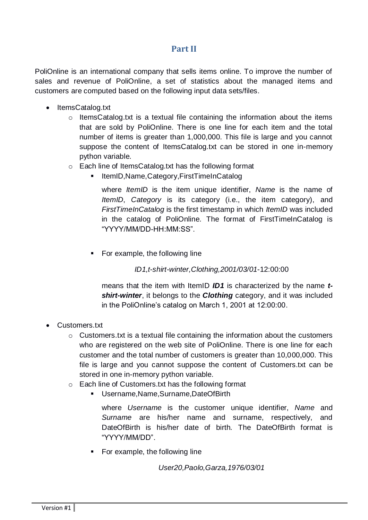## **Part II**

PoliOnline is an international company that sells items online. To improve the number of sales and revenue of PoliOnline, a set of statistics about the managed items and customers are computed based on the following input data sets/files.

- ItemsCatalog.txt
	- o ItemsCatalog.txt is a textual file containing the information about the items that are sold by PoliOnline. There is one line for each item and the total number of items is greater than 1,000,000. This file is large and you cannot suppose the content of ItemsCatalog.txt can be stored in one in-memory python variable.
	- o Each line of ItemsCatalog.txt has the following format
		- ItemID,Name,Category,FirstTimeInCatalog

where *ItemID* is the item unique identifier, *Name* is the name of *ItemID*, *Category* is its category (i.e., the item category), and *FirstTimeInCatalog* is the first timestamp in which *ItemID* was included in the catalog of PoliOnline*.* The format of FirstTimeInCatalog is "YYYY/MM/DD-HH:MM:SS".

• For example, the following line

*ID1,t-shirt-winter,Clothing,2001/03/01*-12:00:00

means that the item with ItemID *ID1* is characterized by the name *tshirt-winter*, it belongs to the *Clothing* category, and it was included in the PoliOnline's catalog on March 1, 2001 at 12:00:00.

- Customers.txt
	- o Customers.txt is a textual file containing the information about the customers who are registered on the web site of PoliOnline. There is one line for each customer and the total number of customers is greater than 10,000,000. This file is large and you cannot suppose the content of Customers.txt can be stored in one in-memory python variable.
	- o Each line of Customers.txt has the following format
		- Username,Name,Surname,DateOfBirth

where *Username* is the customer unique identifier, *Name* and *Surname* are his/her name and surname, respectively, and DateOfBirth is his/her date of birth*.* The DateOfBirth format is "YYYY/MM/DD".

• For example, the following line

*User20,Paolo,Garza,1976/03/01*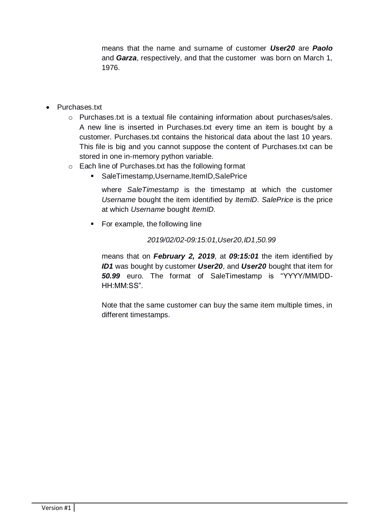means that the name and surname of customer *User20* are *Paolo* and *Garza*, respectively, and that the customer was born on March 1, 1976.

- Purchases.txt
	- o Purchases.txt is a textual file containing information about purchases/sales. A new line is inserted in Purchases.txt every time an item is bought by a customer. Purchases.txt contains the historical data about the last 10 years. This file is big and you cannot suppose the content of Purchases.txt can be stored in one in-memory python variable.
	- o Each line of Purchases.txt has the following format
		- SaleTimestamp,Username,ItemID,SalePrice

where *SaleTimestamp* is the timestamp at which the customer *Username* bought the item identified by *ItemID*. *SalePrice* is the price at which *Username* bought *ItemID.* 

• For example, the following line

#### *2019/02/02-09:15:01,User20,ID1*,*50.99*

means that on *February 2, 2019*, at *09:15:01* the item identified by *ID1* was bought by customer *User20*, and *User20* bought that item for *50.99* euro. The format of SaleTimestamp is "YYYY/MM/DD-HH:MM:SS".

Note that the same customer can buy the same item multiple times, in different timestamps.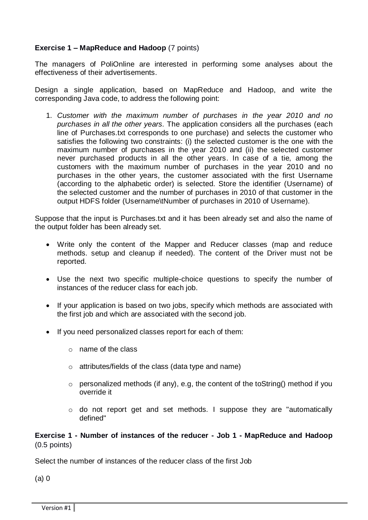#### **Exercise 1 – MapReduce and Hadoop** (7 points)

The managers of PoliOnline are interested in performing some analyses about the effectiveness of their advertisements.

Design a single application, based on MapReduce and Hadoop, and write the corresponding Java code, to address the following point:

1. *Customer with the maximum number of purchases in the year 2010 and no purchases in all the other years.* The application considers all the purchases (each line of Purchases.txt corresponds to one purchase) and selects the customer who satisfies the following two constraints: (i) the selected customer is the one with the maximum number of purchases in the year 2010 and (ii) the selected customer never purchased products in all the other years. In case of a tie, among the customers with the maximum number of purchases in the year 2010 and no purchases in the other years, the customer associated with the first Username (according to the alphabetic order) is selected. Store the identifier (Username) of the selected customer and the number of purchases in 2010 of that customer in the output HDFS folder (Username\tNumber of purchases in 2010 of Username).

Suppose that the input is Purchases.txt and it has been already set and also the name of the output folder has been already set.

- Write only the content of the Mapper and Reducer classes (map and reduce methods. setup and cleanup if needed). The content of the Driver must not be reported.
- Use the next two specific multiple-choice questions to specify the number of instances of the reducer class for each job.
- If your application is based on two jobs, specify which methods are associated with the first job and which are associated with the second job.
- If you need personalized classes report for each of them:
	- o name of the class
	- o attributes/fields of the class (data type and name)
	- o personalized methods (if any), e.g, the content of the toString() method if you override it
	- o do not report get and set methods. I suppose they are "automatically defined"

**Exercise 1 - Number of instances of the reducer - Job 1 - MapReduce and Hadoop** (0.5 points)

Select the number of instances of the reducer class of the first Job

(a) 0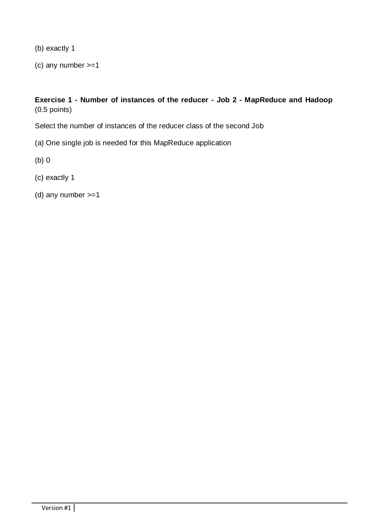(b) exactly 1

(c) any number >=1

**Exercise 1 - Number of instances of the reducer - Job 2 - MapReduce and Hadoop** (0.5 points)

Select the number of instances of the reducer class of the second Job

- (a) One single job is needed for this MapReduce application
- (b) 0
- (c) exactly 1
- (d) any number >=1